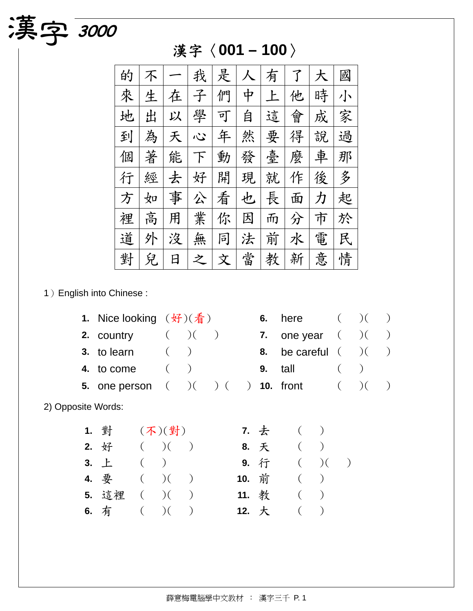| 的 |   |   | 我 | 是 |   | 有  |   | 大 | 國 |
|---|---|---|---|---|---|----|---|---|---|
| 來 | 生 | 在 | 子 | 們 | 中 | F. | 他 | 時 | 小 |
| 地 | 出 | 以 | 學 | 可 | 自 | 這  | 會 | 成 | 家 |
| 到 | 為 | 夭 | ふ | 年 | 然 | 要  | 得 | 說 | 過 |
| 個 | 著 | 能 | ト | 動 | 發 | 臺  | 麼 | 車 | 那 |
| 行 | 經 | 去 | 好 | 開 | 現 | 就  | 作 | 後 | 多 |
| 方 | 如 | 事 | 公 | 看 | 也 | 長  | 面 | 力 | 起 |
| 裡 | 高 | 用 | 業 | 你 | 因 | 而  | 分 | 市 | 於 |
| 道 | 外 | 沒 | 無 | 同 | 法 | 前  | 水 | 電 | 民 |
| 對 | 兒 | 日 | 之 | 文 | 當 | 教  | 新 | 意 | 情 |

## 漢字〈**001 – 100**〉

1)English into Chinese :

演字 3000

|                    | 1. Nice looking $(\frac{\mathcal{H}}{2})(\frac{\mathcal{F}}{4})$  |         |  |  | 6. here $($ $)$ $($ $)$       |         |  |
|--------------------|-------------------------------------------------------------------|---------|--|--|-------------------------------|---------|--|
|                    | 2. country $($ $)$ $($ $)$                                        |         |  |  | 7. one year $($ $)($ $)$      |         |  |
|                    | 3. to learn $($ $)$                                               |         |  |  | 8. be careful $($ $)$ $($ $)$ |         |  |
|                    | 4. to come                                                        | $($ $)$ |  |  | <b>9.</b> tall                | $($ $)$ |  |
|                    | <b>5.</b> one person $( ) ( ) ( ) ( )$ <b>10.</b> front $( ) ( )$ |         |  |  |                               |         |  |
| 2) Opposite Words: |                                                                   |         |  |  |                               |         |  |

| 1. 對 (不)(對)               |  |  | 7. 去 ( )    |  |
|---------------------------|--|--|-------------|--|
| 2. $\sqrt{3}$ ( )( )      |  |  | 8. 天 ( )    |  |
| 3. $\pm$ ( )              |  |  | 9. 行 ( )( ) |  |
| 4. $\frac{\pi}{2}$ ( )( ) |  |  | 10. 前 ( )   |  |
| 5. 這裡 ( )( )              |  |  | 11. 教 ( )   |  |
| 6. 有 $($ ) $($ )          |  |  | 12. 大 ( )   |  |

|       | 7. 去 | $\left($ |                  |  |
|-------|------|----------|------------------|--|
|       | 8. 天 | $\left($ |                  |  |
|       | 9. 行 | $\left($ | $\mathcal{C}$    |  |
| 10. 前 |      | $\left($ | $\left( \right)$ |  |
| 11. 教 |      | $\left($ | $\lambda$        |  |
| 12. 大 |      | (        |                  |  |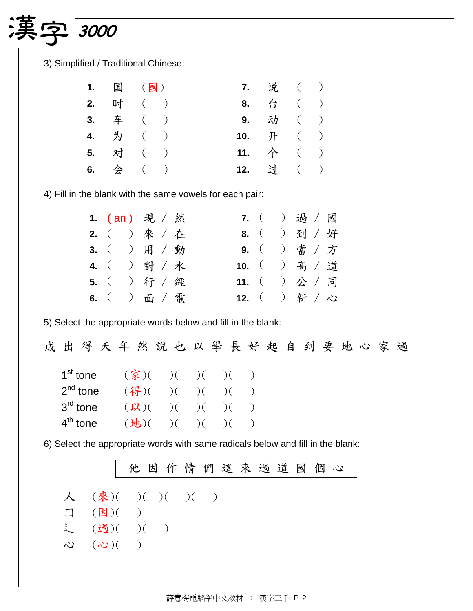## 演字 3000

3) Simplified / Traditional Chinese:

|  | 1. 国 (國) | 7. 说 ( )           |  |
|--|----------|--------------------|--|
|  | 2. 时 ( ) | 8. 台 ( )           |  |
|  | 3. 车 ( ) | 9. 动 ( )           |  |
|  | 4. 为 ( ) | 10. $\#$ ( )       |  |
|  | 5. 对 ( ) | 11. $\uparrow$ ( ) |  |
|  | 6. 会 ( ) | 12. 过 ( )          |  |

4) Fill in the blank with the same vowels for each pair:

|  | 1. $(an)$ 現 / 然 |  | 7. ( ) 過 / 國  |
|--|-----------------|--|---------------|
|  | 2. ( ) 來 / 在    |  | 8. ( ) 到 / 好  |
|  | 3. ( ) 用 / 動    |  | 9. ( ) 當 / 方  |
|  | 4. ( ) 對 / 水    |  | 10. ( ) 高 / 道 |
|  | 5. ( ) 行 / 經    |  | 11. ( ) 公 / 同 |
|  | 6. ( ) 面 / 電    |  | 12. ( ) 新 / 心 |

5) Select the appropriate words below and fill in the blank:

| 出得天年然說也以學長好起自到要地心家過<br>成                                                    |                                                                                                                           |  |  |  |  |  |  |  |
|-----------------------------------------------------------------------------|---------------------------------------------------------------------------------------------------------------------------|--|--|--|--|--|--|--|
| 1 <sup>st</sup> tone<br>$2^{nd}$ tone<br>$3^{\text{rd}}$ tone<br>$4th$ tone | $(\frac{2}{3})()()()()()()$<br>$(\frac{4}{6})(\ )$ ( )( )( )<br>$(\mathcal{U})$ $($ $)($ $)($ $)($ $)$<br>(地)( )( )( )( ) |  |  |  |  |  |  |  |

6) Select the appropriate words with same radicals below and fill in the blank:

|                                                                   |  | 他因作情們這來過道國個心 |  |  |  |  |
|-------------------------------------------------------------------|--|--------------|--|--|--|--|
| 人 (來)( )( )( )( )                                                 |  |              |  |  |  |  |
|                                                                   |  |              |  |  |  |  |
| $\Box$ ( $\Box$ )()                                               |  |              |  |  |  |  |
| i (過)( )( )                                                       |  |              |  |  |  |  |
| $\mathcal{C}$ $(\mathcal{C}^{\bullet})$ $(\mathcal{C}^{\bullet})$ |  |              |  |  |  |  |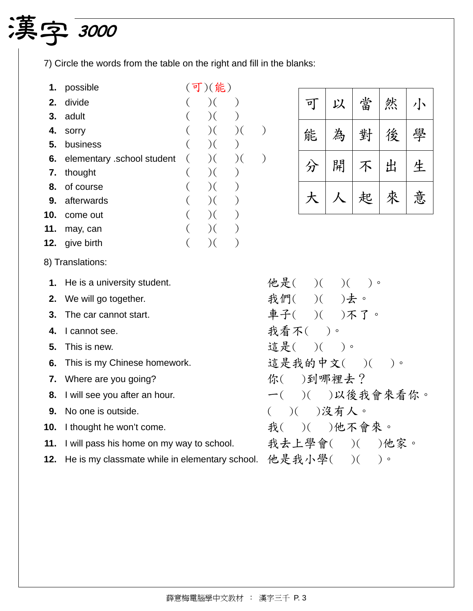## ႔ф **<sup>3000</sup>**

7) Circle the words from the table on the right and fill in the blanks:

**1.** possible (可)(能) **2.** divide  $($   $)$   $($   $)$ **3.** adult  $($   $)$   $($   $)$ **4.** sorry ( )( )( ) **5.** business ( )( ) **6.** elementary school student  $($   $)$  $($   $)$  $($   $)$ <br>**7.** thought  $($   $)$  $($   $)$ **7.** thought ( )( **8.** of course ( )( ) **9.** afterwards ( )( ) **10.** come out  $($   $)$   $($   $)$ **11.** may, can  $($   $)$   $($   $)$ **12.** give birth  $($   $)$   $($   $)$ 8) Translations: **1.** He is a university student. **2.** We will go together. **3.** The car cannot start. **4.** I cannot see. **5.** This is new. **6.** This is my Chinese homework. **7.** Where are you going? **8.** I will see you after an hour.

| $\tilde{p}_j$ | 以 | 當 | 然 |   |
|---------------|---|---|---|---|
| 能             | 為 | 對 | 後 | 學 |
| 分             | 開 | 个 | 出 | 生 |
|               |   | 起 | 來 | 意 |

|  | 他是( )( )( )。    |  |     |  |
|--|-----------------|--|-----|--|
|  | 我們( )( )去。      |  |     |  |
|  | 車子( )( )不了。     |  |     |  |
|  | 我看不( )。         |  |     |  |
|  | 這是( )( )。       |  |     |  |
|  | 這是我的中文()()。     |  |     |  |
|  | 你( )到哪裡去?       |  |     |  |
|  | 一( )( )以後我會來看你。 |  |     |  |
|  | ( )( )没有人。      |  |     |  |
|  | 我( )( )他不會來。    |  |     |  |
|  | 我去上學會( )( )他家。  |  |     |  |
|  | 他是我小學( )(       |  | ) ം |  |

**10.** I thought he won't come.

**9.** No one is outside.

- **11.** I will pass his home on my way to school.
- **12.** He is my classmate while in elementary school.